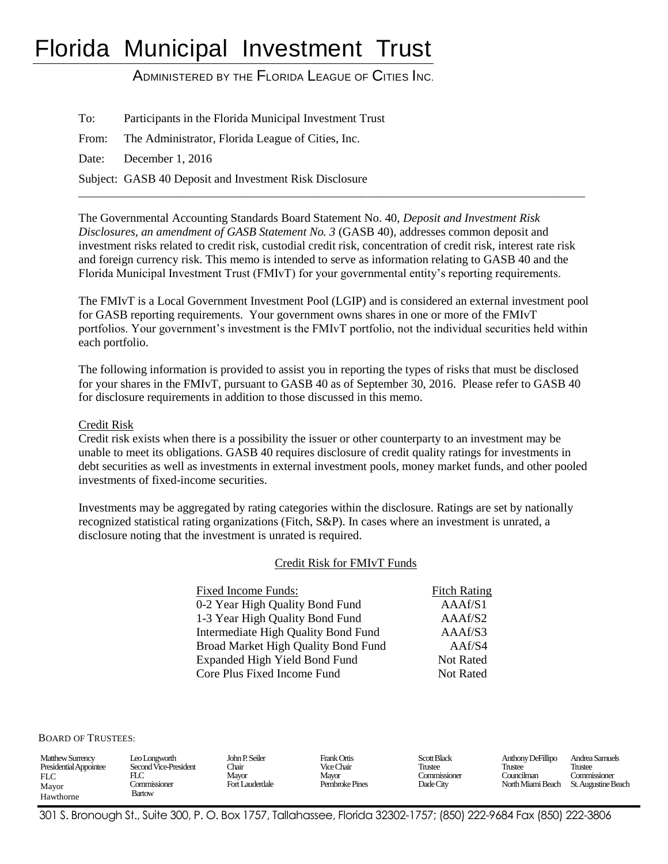# Florida Municipal Investment Trust

ADMINISTERED BY THE FLORIDA LEAGUE OF CITIES INC.

To: Participants in the Florida Municipal Investment Trust From: The Administrator, Florida League of Cities, Inc. Date: December 1, 2016 Subject: GASB 40 Deposit and Investment Risk Disclosure \_\_\_\_\_\_\_\_\_\_\_\_\_\_\_\_\_\_\_\_\_\_\_\_\_\_\_\_\_\_\_\_\_\_\_\_\_\_\_\_\_\_\_\_\_\_\_\_\_\_\_\_\_\_\_\_\_\_\_\_\_\_\_\_\_\_\_\_\_\_\_\_\_\_\_\_\_\_\_\_\_\_\_\_\_\_\_\_\_\_\_\_\_

The Governmental Accounting Standards Board Statement No. 40, *Deposit and Investment Risk Disclosures, an amendment of GASB Statement No. 3* (GASB 40), addresses common deposit and investment risks related to credit risk, custodial credit risk, concentration of credit risk, interest rate risk and foreign currency risk. This memo is intended to serve as information relating to GASB 40 and the Florida Municipal Investment Trust (FMIvT) for your governmental entity's reporting requirements.

The FMIvT is a Local Government Investment Pool (LGIP) and is considered an external investment pool for GASB reporting requirements. Your government owns shares in one or more of the FMIvT portfolios. Your government's investment is the FMIvT portfolio, not the individual securities held within each portfolio.

The following information is provided to assist you in reporting the types of risks that must be disclosed for your shares in the FMIvT, pursuant to GASB 40 as of September 30, 2016. Please refer to GASB 40 for disclosure requirements in addition to those discussed in this memo.

## Credit Risk

Credit risk exists when there is a possibility the issuer or other counterparty to an investment may be unable to meet its obligations. GASB 40 requires disclosure of credit quality ratings for investments in debt securities as well as investments in external investment pools, money market funds, and other pooled investments of fixed-income securities.

Investments may be aggregated by rating categories within the disclosure. Ratings are set by nationally recognized statistical rating organizations (Fitch, S&P). In cases where an investment is unrated, a disclosure noting that the investment is unrated is required.

#### Credit Risk for FMIvT Funds

| Fixed Income Funds:                  | <b>Fitch Rating</b> |
|--------------------------------------|---------------------|
| 0-2 Year High Quality Bond Fund      | AAAf/S1             |
| 1-3 Year High Quality Bond Fund      | AAAf/S2             |
| Intermediate High Quality Bond Fund  | AAAf/S3             |
| Broad Market High Quality Bond Fund  | AAf/S4              |
| <b>Expanded High Yield Bond Fund</b> | <b>Not Rated</b>    |
| Core Plus Fixed Income Fund          | <b>Not Rated</b>    |

BOARD OF TRUSTEES:

| <b>Matthew Surrency</b><br>Presidential Appointee<br><b>FLC</b><br>Mayor<br>Hawthorne | Leo Longworth<br>Second Vice-President<br>FLC<br>. ommissioner<br>Bartow | John P. Seiler<br>Chair<br>Mavor<br>Fort Lauderdale | Frank Ortis<br>Vice Chair<br>Mavor<br>Pembroke Pines | <b>Scott Black</b><br>Trustee<br><b>Commissioner</b><br>Dade City | Anthony DeFillipo<br>Trustee<br>Councilman<br>North Miami Beach | Andrea Samuels<br>Trustee<br>. ommissioner<br>St. Augustine Beach |
|---------------------------------------------------------------------------------------|--------------------------------------------------------------------------|-----------------------------------------------------|------------------------------------------------------|-------------------------------------------------------------------|-----------------------------------------------------------------|-------------------------------------------------------------------|
|---------------------------------------------------------------------------------------|--------------------------------------------------------------------------|-----------------------------------------------------|------------------------------------------------------|-------------------------------------------------------------------|-----------------------------------------------------------------|-------------------------------------------------------------------|

301 S. Bronough St., Suite 300, P. O. Box 1757, Tallahassee, Florida 32302-1757; (850) 222-9684 Fax (850) 222-3806